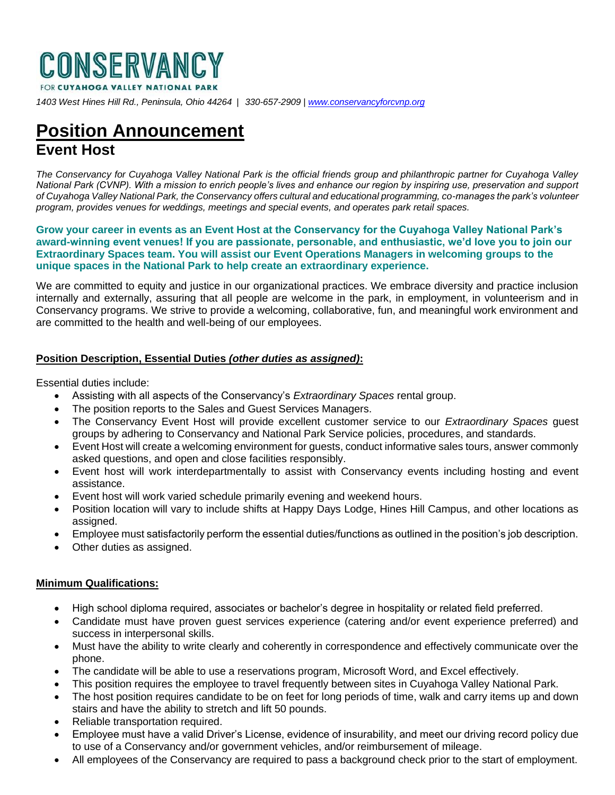

*1403 West Hines Hill Rd., Peninsula, Ohio 44264 | 330-657-2909 [| www.conservancyforcvnp.org](http://www.conservancyforcvnp.org/)*

## **Position Announcement Event Host**

*The Conservancy for Cuyahoga Valley National Park is the official friends group and philanthropic partner for Cuyahoga Valley National Park (CVNP). With a mission to enrich people's lives and enhance our region by inspiring use, preservation and support of Cuyahoga Valley National Park, the Conservancy offers cultural and educational programming, co-manages the park's volunteer program, provides venues for weddings, meetings and special events, and operates park retail spaces.*

**Grow your career in events as an Event Host at the Conservancy for the Cuyahoga Valley National Park's award-winning event venues! If you are passionate, personable, and enthusiastic, we'd love you to join our Extraordinary Spaces team. You will assist our Event Operations Managers in welcoming groups to the unique spaces in the National Park to help create an extraordinary experience.** 

We are committed to equity and justice in our organizational practices. We embrace diversity and practice inclusion internally and externally, assuring that all people are welcome in the park, in employment, in volunteerism and in Conservancy programs. We strive to provide a welcoming, collaborative, fun, and meaningful work environment and are committed to the health and well-being of our employees.

## **Position Description, Essential Duties** *(other duties as assigned)***:**

Essential duties include:

- Assisting with all aspects of the Conservancy's *Extraordinary Spaces* rental group.
- The position reports to the Sales and Guest Services Managers.
- The Conservancy Event Host will provide excellent customer service to our *Extraordinary Spaces* guest groups by adhering to Conservancy and National Park Service policies, procedures, and standards.
- Event Host will create a welcoming environment for guests, conduct informative sales tours, answer commonly asked questions, and open and close facilities responsibly.
- Event host will work interdepartmentally to assist with Conservancy events including hosting and event assistance.
- Event host will work varied schedule primarily evening and weekend hours.
- Position location will vary to include shifts at Happy Days Lodge, Hines Hill Campus, and other locations as assigned.
- Employee must satisfactorily perform the essential duties/functions as outlined in the position's job description.
- Other duties as assigned.

## **Minimum Qualifications:**

- High school diploma required, associates or bachelor's degree in hospitality or related field preferred.
- Candidate must have proven guest services experience (catering and/or event experience preferred) and success in interpersonal skills.
- Must have the ability to write clearly and coherently in correspondence and effectively communicate over the phone.
- The candidate will be able to use a reservations program, Microsoft Word, and Excel effectively.
- This position requires the employee to travel frequently between sites in Cuyahoga Valley National Park.
- The host position requires candidate to be on feet for long periods of time, walk and carry items up and down stairs and have the ability to stretch and lift 50 pounds.
- Reliable transportation required.
- Employee must have a valid Driver's License, evidence of insurability, and meet our driving record policy due to use of a Conservancy and/or government vehicles, and/or reimbursement of mileage.
- All employees of the Conservancy are required to pass a background check prior to the start of employment.